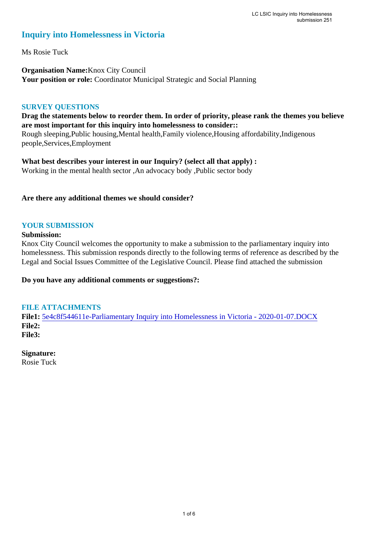# **Inquiry into Homelessness in Victoria**

Ms Rosie Tuck

**Organisation Name:**Knox City Council **Your position or role:** Coordinator Municipal Strategic and Social Planning

### **SURVEY QUESTIONS**

## **Drag the statements below to reorder them. In order of priority, please rank the themes you believe are most important for this inquiry into homelessness to consider::**

Rough sleeping,Public housing,Mental health,Family violence,Housing affordability,Indigenous people,Services,Employment

**What best describes your interest in our Inquiry? (select all that apply) :**  Working in the mental health sector ,An advocacy body ,Public sector body

### **Are there any additional themes we should consider?**

# **YOUR SUBMISSION**

### **Submission:**

Knox City Council welcomes the opportunity to make a submission to the parliamentary inquiry into homelessness. This submission responds directly to the following terms of reference as described by the Legal and Social Issues Committee of the Legislative Council. Please find attached the submission

**Do you have any additional comments or suggestions?:** 

## **FILE ATTACHMENTS**

**File1:** [5e4c8f544611e-Parliamentary Inquiry into Homelessness in Victoria - 2020-01-07.DOCX](https://www.parliament.vic.gov.au/component/rsform/submission-view-file/cb2d6ab2388345690ab452346ced90d6/0d47128069d63565bd44d4e8097d6f27?Itemid=850) **File2: File3:** 

# **Signature:**

Rosie Tuck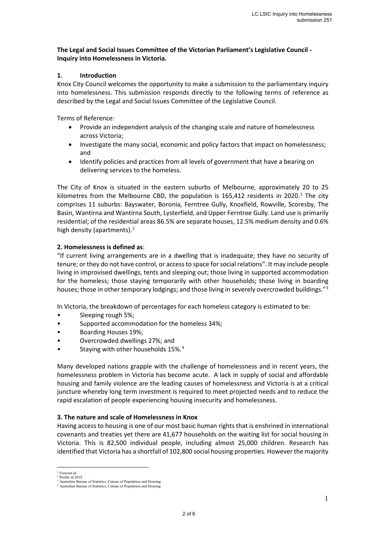#### **The Legal and Social Issues Committee of the Victorian Parliament's Legislative Council - Inquiry into Homelessness in Victoria.**

#### **1. Introduction**

Knox City Council welcomes the opportunity to make a submission to the parliamentary inquiry into homelessness. This submission responds directly to the following terms of reference as described by the Legal and Social Issues Committee of the Legislative Council.

Terms of Reference:

- Provide an independent analysis of the changing scale and nature of homelessness across Victoria;
- Investigate the many social, economic and policy factors that impact on homelessness; and
- Identify policies and practices from all levels of government that have a bearing on delivering services to the homeless.

The City of Knox is situated in the eastern suburbs of Melbourne, approximately 20 to 25 kilometres from the Melbourne CBD, the population is [1](#page-1-0)65,412 residents in 2020.<sup>1</sup> The city comprises 11 suburbs: Bayswater, Boronia, Ferntree Gully, Knoxfield, Rowville, Scoresby, The Basin, Wantirna and Wantirna South, Lysterfield, and Upper Ferntree Gully. Land use is primarily residential; of the residential areas 86.5% are separate houses, 12.5% medium density and 0.6% high density (apartments). $<sup>2</sup>$  $<sup>2</sup>$  $<sup>2</sup>$ </sup>

#### **2. Homelessness is defined as**:

"If current living arrangements are in a dwelling that is inadequate; they have no security of tenure; or they do not have control, or access to space for social relations". It may include people living in improvised dwellings, tents and sleeping out; those living in supported accommodation for the homeless; those staying temporarily with other households; those living in boarding houses; those in other temporary lodgings; and those living in severely overcrowded buildings."<sup>[3](#page-1-2)</sup>

In Victoria, the breakdown of percentages for each homeless category is estimated to be:

- Sleeping rough 5%;
- Supported accommodation for the homeless 34%;
- Boarding Houses 19%;
- Overcrowded dwellings 27%; and
- Staying with other households 15%.<sup>4</sup>

Many developed nations grapple with the challenge of homelessness and in recent years, the homelessness problem in Victoria has become acute. A lack in supply of social and affordable housing and family violence are the leading causes of homelessness and Victoria is at a critical juncture whereby long term investment is required to meet projected needs and to reduce the rapid escalation of people experiencing housing insecurity and homelessness.

#### **3. The nature and scale of Homelessness in Knox**

Having access to housing is one of our most basic human rights that is enshrined in international covenants and treaties yet there are 41,677 households on the waiting list for social housing in Victoria. This is 82,500 individual people, including almost 25,000 children. Research has identified that Victoria has a shortfall of 102,800 social housing properties. However the majority

<sup>&</sup>lt;sup>1</sup> Forecast.id

<span id="page-1-1"></span><span id="page-1-0"></span>Profile id.2018

<span id="page-1-3"></span><span id="page-1-2"></span><sup>&</sup>lt;sup>3</sup> Australian Bureau of Statistics, Census of Population and Housing<br><sup>4</sup> Australian Bureau of Statistics, Census of Population and Housing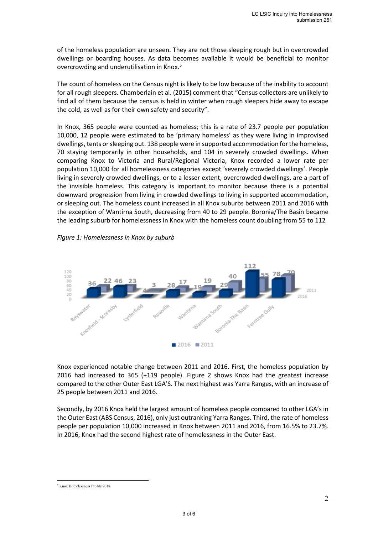of the homeless population are unseen. They are not those sleeping rough but in overcrowded dwellings or boarding houses. As data becomes available it would be beneficial to monitor overcrowding and underutilisation in Knox.<sup>[5](#page-2-0)</sup>

The count of homeless on the Census night is likely to be low because of the inability to account for all rough sleepers. Chamberlain et al. (2015) comment that "Census collectors are unlikely to find all of them because the census is held in winter when rough sleepers hide away to escape the cold, as well as for their own safety and security".

In Knox, 365 people were counted as homeless; this is a rate of 23.7 people per population 10,000, 12 people were estimated to be 'primary homeless' as they were living in improvised dwellings, tents or sleeping out. 138 people were in supported accommodation for the homeless, 70 staying temporarily in other households, and 104 in severely crowded dwellings. When comparing Knox to Victoria and Rural/Regional Victoria, Knox recorded a lower rate per population 10,000 for all homelessness categories except 'severely crowded dwellings'. People living in severely crowded dwellings, or to a lesser extent, overcrowded dwellings, are a part of the invisible homeless. This category is important to monitor because there is a potential downward progression from living in crowded dwellings to living in supported accommodation, or sleeping out. The homeless count increased in all Knox suburbs between 2011 and 2016 with the exception of Wantirna South, decreasing from 40 to 29 people. Boronia/The Basin became the leading suburb for homelessness in Knox with the homeless count doubling from 55 to 112





Knox experienced notable change between 2011 and 2016. First, the homeless population by 2016 had increased to 365 (+119 people). Figure 2 shows Knox had the greatest increase compared to the other Outer East LGA'S. The next highest was Yarra Ranges, with an increase of 25 people between 2011 and 2016.

Secondly, by 2016 Knox held the largest amount of homeless people compared to other LGA's in the Outer East (ABS Census, 2016), only just outranking Yarra Ranges. Third, the rate of homeless people per population 10,000 increased in Knox between 2011 and 2016, from 16.5% to 23.7%. In 2016, Knox had the second highest rate of homelessness in the Outer East.

<span id="page-2-0"></span><sup>5</sup> Knox Homelessness Profile 2018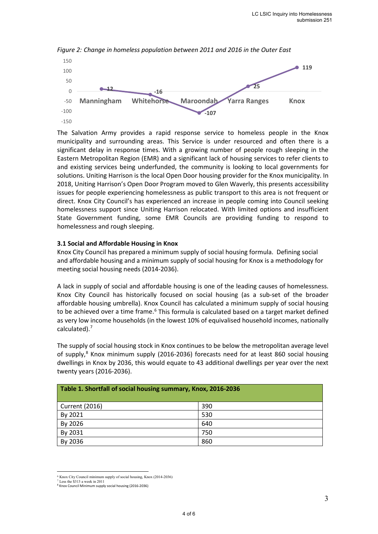

*Figure 2: Change in homeless population between 2011 and 2016 in the Outer East*

The Salvation Army provides a rapid response service to homeless people in the Knox municipality and surrounding areas. This Service is under resourced and often there is a significant delay in response times. With a growing number of people rough sleeping in the Eastern Metropolitan Region (EMR) and a significant lack of housing services to refer clients to and existing services being underfunded, the community is looking to local governments for solutions. Uniting Harrison is the local Open Door housing provider for the Knox municipality. In 2018, Uniting Harrison's Open Door Program moved to Glen Waverly, this presents accessibility issues for people experiencing homelessness as public transport to this area is not frequent or direct. Knox City Council's has experienced an increase in people coming into Council seeking homelessness support since Uniting Harrison relocated. With limited options and insufficient State Government funding, some EMR Councils are providing funding to respond to homelessness and rough sleeping.

#### **3.1 Social and Affordable Housing in Knox**

Knox City Council has prepared a minimum supply of social housing formula. Defining social and affordable housing and a minimum supply of social housing for Knox is a methodology for meeting social housing needs (2014-2036).

A lack in supply of social and affordable housing is one of the leading causes of homelessness. Knox City Council has historically focused on social housing (as a sub-set of the broader affordable housing umbrella). Knox Council has calculated a minimum supply of social housing to be achieved over a time frame.<sup>[6](#page-3-0)</sup> This formula is calculated based on a target market defined as very low income households (in the lowest 10% of equivalised household incomes, nationally calculated).<sup>[7](#page-3-1)</sup>

The supply of social housing stock in Knox continues to be below the metropolitan average level of supply, $8$  Knox minimum supply (2016-2036) forecasts need for at least 860 social housing dwellings in Knox by 2036, this would equate to 43 additional dwellings per year over the next twenty years (2016-2036).

| Table 1. Shortfall of social housing summary, Knox, 2016-2036 |     |
|---------------------------------------------------------------|-----|
| Current (2016)                                                | 390 |
| By 2021                                                       | 530 |
| By 2026                                                       | 640 |
| By 2031                                                       | 750 |
| By 2036                                                       | 860 |

<sup>&</sup>lt;sup>6</sup> Knox City Council minimum supply of social housing, Knox (2014-2036)<sup>7</sup> Less the \$313 a week in 2011

<span id="page-3-2"></span><span id="page-3-1"></span><span id="page-3-0"></span><sup>8</sup> Knox Council Minimum supply social housing (2016-2036)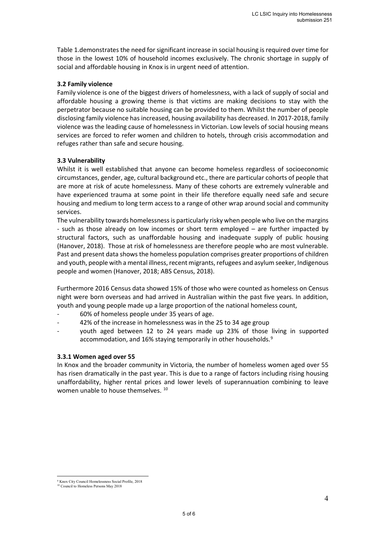Table 1.demonstrates the need for significant increase in social housing is required over time for those in the lowest 10% of household incomes exclusively. The chronic shortage in supply of social and affordable housing in Knox is in urgent need of attention.

#### **3.2 Family violence**

Family violence is one of the biggest drivers of homelessness, with a lack of supply of social and affordable housing a growing theme is that victims are making decisions to stay with the perpetrator because no suitable housing can be provided to them. Whilst the number of people disclosing family violence has increased, housing availability has decreased. In 2017-2018, family violence was the leading cause of homelessness in Victorian. Low levels of social housing means services are forced to refer women and children to hotels, through crisis accommodation and refuges rather than safe and secure housing.

#### **3.3 Vulnerability**

Whilst it is well established that anyone can become homeless regardless of socioeconomic circumstances, gender, age, cultural background etc., there are particular cohorts of people that are more at risk of acute homelessness. Many of these cohorts are extremely vulnerable and have experienced trauma at some point in their life therefore equally need safe and secure housing and medium to long term access to a range of other wrap around social and community services.

The vulnerability towards homelessness is particularly risky when people who live on the margins - such as those already on low incomes or short term employed – are further impacted by structural factors, such as unaffordable housing and inadequate supply of public housing (Hanover, 2018). Those at risk of homelessness are therefore people who are most vulnerable. Past and present data shows the homeless population comprises greater proportions of children and youth, people with a mental illness, recent migrants, refugees and asylum seeker, Indigenous people and women (Hanover, 2018; ABS Census, 2018).

Furthermore 2016 Census data showed 15% of those who were counted as homeless on Census night were born overseas and had arrived in Australian within the past five years. In addition, youth and young people made up a large proportion of the national homeless count,

- 60% of homeless people under 35 years of age.
- 42% of the increase in homelessness was in the 25 to 34 age group
- youth aged between 12 to 24 years made up 23% of those living in supported accommodation, and 16% staying temporarily in other households.[9](#page-4-0)

#### **3.3.1 Women aged over 55**

In Knox and the broader community in Victoria, the number of homeless women aged over 55 has risen dramatically in the past year. This is due to a range of factors including rising housing unaffordability, higher rental prices and lower levels of superannuation combining to leave women unable to house themselves.<sup>10</sup>

<span id="page-4-1"></span><span id="page-4-0"></span><sup>9</sup> Knox City Council Homelessness Social Profile, 2018 <sup>10</sup> Council to Homeless Persons May 2018